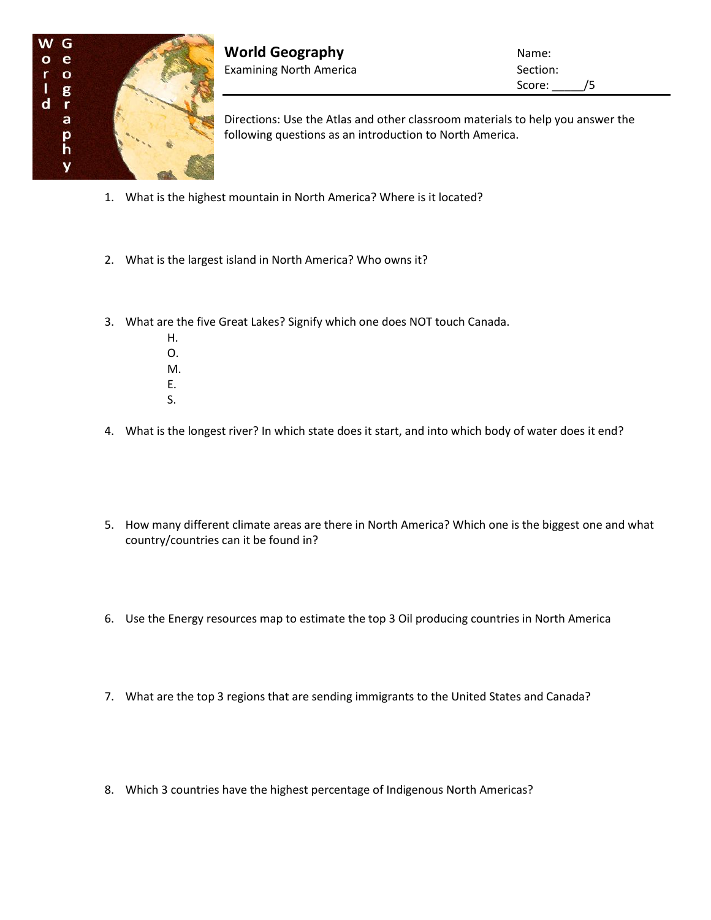

**World Geography Name:** Name: Examining North America **Section:** Section:

Score: \_\_\_\_\_/5

Directions: Use the Atlas and other classroom materials to help you answer the following questions as an introduction to North America.

- 1. What is the highest mountain in North America? Where is it located?
- 2. What is the largest island in North America? Who owns it?
- 3. What are the five Great Lakes? Signify which one does NOT touch Canada.
	- H. O. M. E. S.
- 4. What is the longest river? In which state does it start, and into which body of water does it end?
	- 5. How many different climate areas are there in North America? Which one is the biggest one and what country/countries can it be found in?
	- 6. Use the Energy resources map to estimate the top 3 Oil producing countries in North America
	- 7. What are the top 3 regions that are sending immigrants to the United States and Canada?
	- 8. Which 3 countries have the highest percentage of Indigenous North Americas?